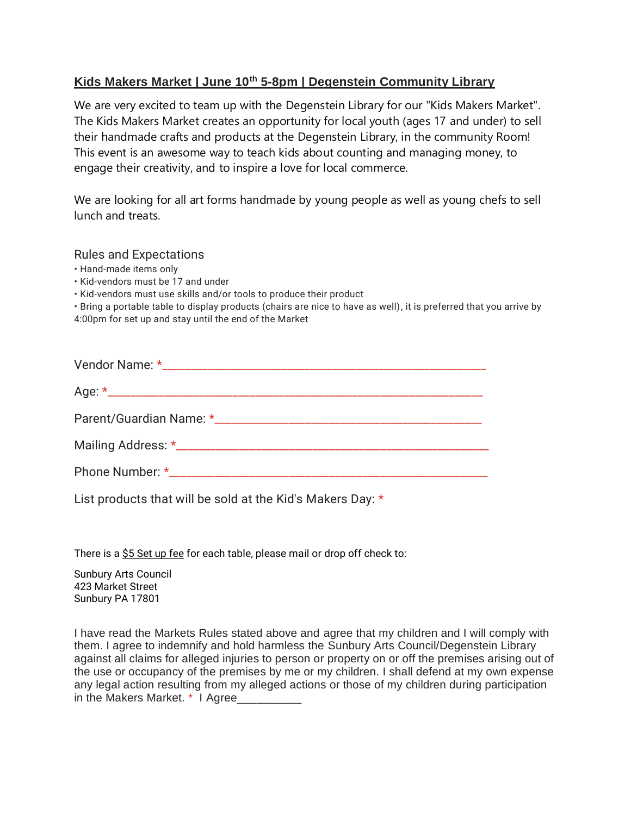## **Kids Makers Market | June 10th 5-8pm | Degenstein Community Library**

We are very excited to team up with the Degenstein Library for our "Kids Makers Market". The Kids Makers Market creates an opportunity for local youth (ages 17 and under) to sell their handmade crafts and products at the Degenstein Library, in the community Room! This event is an awesome way to teach kids about counting and managing money, to engage their creativity, and to inspire a love for local commerce.

We are looking for all art forms handmade by young people as well as young chefs to sell lunch and treats.

## Rules and Expectations

- Hand-made items only
- Kid-vendors must be 17 and under

• Kid-vendors must use skills and/or tools to produce their product

• Bring a portable table to display products (chairs are nice to have as well), it is preferred that you arrive by 4:00pm for set up and stay until the end of the Market

List products that will be sold at the Kid's Makers Day: \*

There is a  $$5$  Set up fee for each table, please mail or drop off check to:

Sunbury Arts Council 423 Market Street Sunbury PA 17801

I have read the Markets Rules stated above and agree that my children and I will comply with them. I agree to indemnify and hold harmless the Sunbury Arts Council/Degenstein Library against all claims for alleged injuries to person or property on or off the premises arising out of the use or occupancy of the premises by me or my children. I shall defend at my own expense any legal action resulting from my alleged actions or those of my children during participation in the Makers Market. \* I Agree